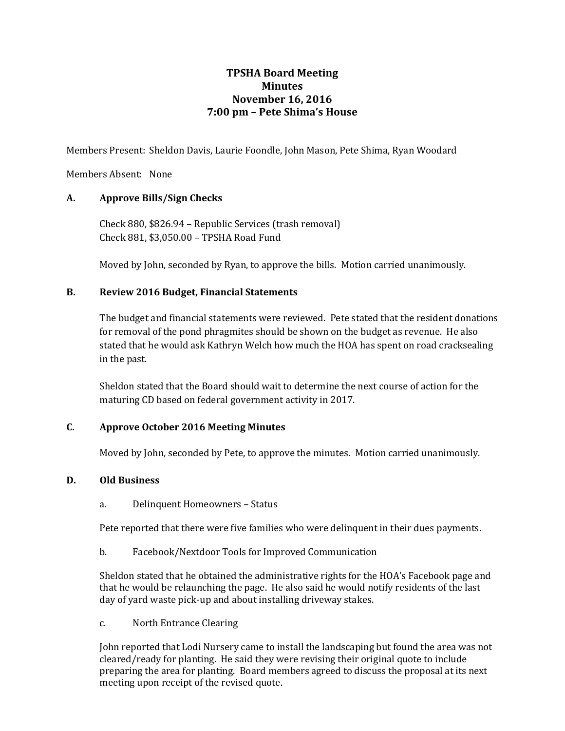# **TPSHA Board Meeting Minutes November 16, 2016 7:00 pm – Pete Shima's House**

Members Present: Sheldon Davis, Laurie Foondle, John Mason, Pete Shima, Ryan Woodard

Members Absent: None

# **A. Approve Bills/Sign Checks**

Check 880, \$826.94 – Republic Services (trash removal) Check 881, \$3,050.00 – TPSHA Road Fund

Moved by John, seconded by Ryan, to approve the bills. Motion carried unanimously.

# **B. Review 2016 Budget, Financial Statements**

The budget and financial statements were reviewed. Pete stated that the resident donations for removal of the pond phragmites should be shown on the budget as revenue. He also stated that he would ask Kathryn Welch how much the HOA has spent on road cracksealing in the past.

Sheldon stated that the Board should wait to determine the next course of action for the maturing CD based on federal government activity in 2017.

# **C. Approve October 2016 Meeting Minutes**

Moved by John, seconded by Pete, to approve the minutes. Motion carried unanimously.

# **D. Old Business**

a. Delinquent Homeowners – Status

Pete reported that there were five families who were delinquent in their dues payments.

b. Facebook/Nextdoor Tools for Improved Communication

Sheldon stated that he obtained the administrative rights for the HOA's Facebook page and that he would be relaunching the page. He also said he would notify residents of the last day of yard waste pick-up and about installing driveway stakes.

c. North Entrance Clearing

John reported that Lodi Nursery came to install the landscaping but found the area was not cleared/ready for planting. He said they were revising their original quote to include preparing the area for planting. Board members agreed to discuss the proposal at its next meeting upon receipt of the revised quote.